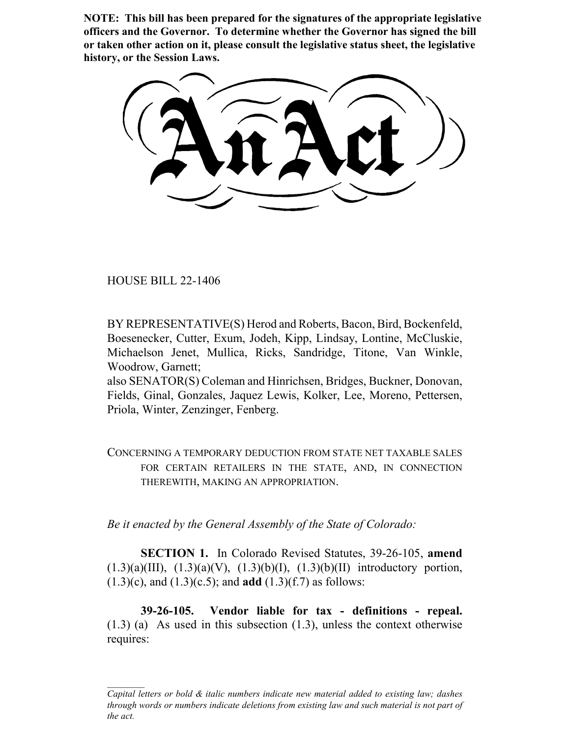**NOTE: This bill has been prepared for the signatures of the appropriate legislative officers and the Governor. To determine whether the Governor has signed the bill or taken other action on it, please consult the legislative status sheet, the legislative history, or the Session Laws.**

HOUSE BILL 22-1406

BY REPRESENTATIVE(S) Herod and Roberts, Bacon, Bird, Bockenfeld, Boesenecker, Cutter, Exum, Jodeh, Kipp, Lindsay, Lontine, McCluskie, Michaelson Jenet, Mullica, Ricks, Sandridge, Titone, Van Winkle, Woodrow, Garnett;

also SENATOR(S) Coleman and Hinrichsen, Bridges, Buckner, Donovan, Fields, Ginal, Gonzales, Jaquez Lewis, Kolker, Lee, Moreno, Pettersen, Priola, Winter, Zenzinger, Fenberg.

CONCERNING A TEMPORARY DEDUCTION FROM STATE NET TAXABLE SALES FOR CERTAIN RETAILERS IN THE STATE, AND, IN CONNECTION THEREWITH, MAKING AN APPROPRIATION.

*Be it enacted by the General Assembly of the State of Colorado:*

**SECTION 1.** In Colorado Revised Statutes, 39-26-105, **amend**  $(1.3)(a)(III)$ ,  $(1.3)(a)(V)$ ,  $(1.3)(b)(I)$ ,  $(1.3)(b)(II)$  introductory portion, (1.3)(c), and (1.3)(c.5); and **add** (1.3)(f.7) as follows:

**39-26-105. Vendor liable for tax - definitions - repeal.** (1.3) (a) As used in this subsection (1.3), unless the context otherwise requires:

*Capital letters or bold & italic numbers indicate new material added to existing law; dashes through words or numbers indicate deletions from existing law and such material is not part of the act.*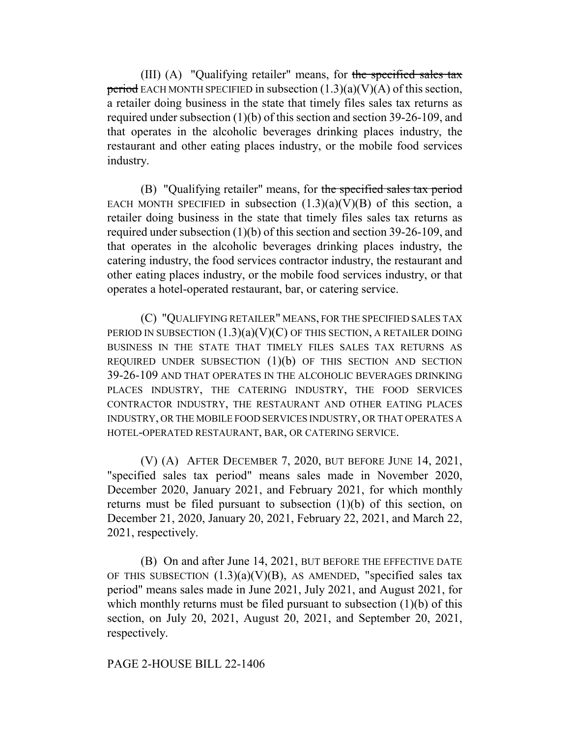(III) (A) "Qualifying retailer" means, for the specified sales tax period EACH MONTH SPECIFIED in subsection  $(1.3)(a)(V)(A)$  of this section, a retailer doing business in the state that timely files sales tax returns as required under subsection (1)(b) of this section and section 39-26-109, and that operates in the alcoholic beverages drinking places industry, the restaurant and other eating places industry, or the mobile food services industry.

(B) "Qualifying retailer" means, for the specified sales tax period EACH MONTH SPECIFIED in subsection  $(1.3)(a)(V)(B)$  of this section, a retailer doing business in the state that timely files sales tax returns as required under subsection (1)(b) of this section and section 39-26-109, and that operates in the alcoholic beverages drinking places industry, the catering industry, the food services contractor industry, the restaurant and other eating places industry, or the mobile food services industry, or that operates a hotel-operated restaurant, bar, or catering service.

(C) "QUALIFYING RETAILER" MEANS, FOR THE SPECIFIED SALES TAX PERIOD IN SUBSECTION  $(1.3)(a)(V)(C)$  OF THIS SECTION, A RETAILER DOING BUSINESS IN THE STATE THAT TIMELY FILES SALES TAX RETURNS AS REQUIRED UNDER SUBSECTION  $(1)(b)$  OF THIS SECTION AND SECTION 39-26-109 AND THAT OPERATES IN THE ALCOHOLIC BEVERAGES DRINKING PLACES INDUSTRY, THE CATERING INDUSTRY, THE FOOD SERVICES CONTRACTOR INDUSTRY, THE RESTAURANT AND OTHER EATING PLACES INDUSTRY, OR THE MOBILE FOOD SERVICES INDUSTRY, OR THAT OPERATES A HOTEL-OPERATED RESTAURANT, BAR, OR CATERING SERVICE.

(V) (A) AFTER DECEMBER 7, 2020, BUT BEFORE JUNE 14, 2021, "specified sales tax period" means sales made in November 2020, December 2020, January 2021, and February 2021, for which monthly returns must be filed pursuant to subsection (1)(b) of this section, on December 21, 2020, January 20, 2021, February 22, 2021, and March 22, 2021, respectively.

(B) On and after June 14, 2021, BUT BEFORE THE EFFECTIVE DATE OF THIS SUBSECTION  $(1.3)(a)(V)(B)$ , AS AMENDED, "specified sales tax period" means sales made in June 2021, July 2021, and August 2021, for which monthly returns must be filed pursuant to subsection  $(1)(b)$  of this section, on July 20, 2021, August 20, 2021, and September 20, 2021, respectively.

PAGE 2-HOUSE BILL 22-1406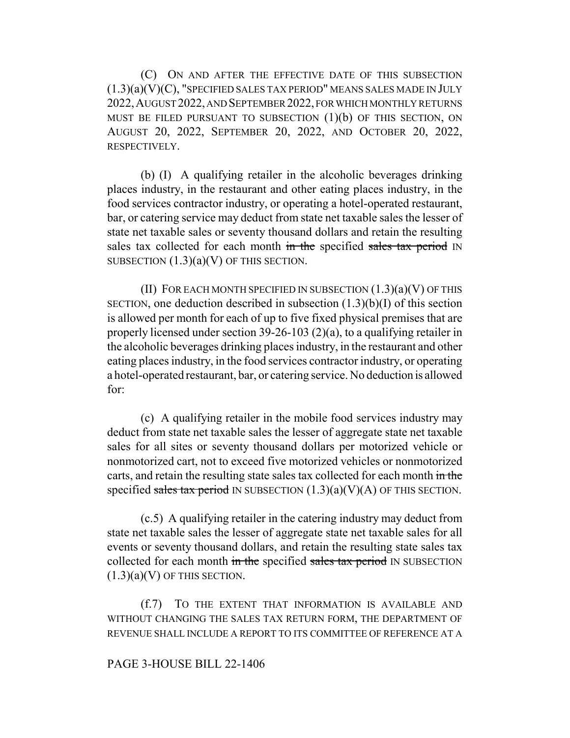(C) ON AND AFTER THE EFFECTIVE DATE OF THIS SUBSECTION  $(1.3)(a)(V)(C)$ , "SPECIFIED SALES TAX PERIOD" MEANS SALES MADE IN JULY 2022,AUGUST 2022, AND SEPTEMBER 2022, FOR WHICH MONTHLY RETURNS MUST BE FILED PURSUANT TO SUBSECTION  $(1)(b)$  OF THIS SECTION, ON AUGUST 20, 2022, SEPTEMBER 20, 2022, AND OCTOBER 20, 2022, RESPECTIVELY.

(b) (I) A qualifying retailer in the alcoholic beverages drinking places industry, in the restaurant and other eating places industry, in the food services contractor industry, or operating a hotel-operated restaurant, bar, or catering service may deduct from state net taxable sales the lesser of state net taxable sales or seventy thousand dollars and retain the resulting sales tax collected for each month in the specified sales tax period IN SUBSECTION  $(1.3)(a)(V)$  OF THIS SECTION.

(II) FOR EACH MONTH SPECIFIED IN SUBSECTION  $(1.3)(a)(V)$  OF THIS SECTION, one deduction described in subsection  $(1.3)(b)(I)$  of this section is allowed per month for each of up to five fixed physical premises that are properly licensed under section 39-26-103 (2)(a), to a qualifying retailer in the alcoholic beverages drinking places industry, in the restaurant and other eating places industry, in the food services contractor industry, or operating a hotel-operated restaurant, bar, or catering service. No deduction is allowed for:

(c) A qualifying retailer in the mobile food services industry may deduct from state net taxable sales the lesser of aggregate state net taxable sales for all sites or seventy thousand dollars per motorized vehicle or nonmotorized cart, not to exceed five motorized vehicles or nonmotorized carts, and retain the resulting state sales tax collected for each month in the specified sales tax period IN SUBSECTION  $(1.3)(a)(V)(A)$  OF THIS SECTION.

(c.5) A qualifying retailer in the catering industry may deduct from state net taxable sales the lesser of aggregate state net taxable sales for all events or seventy thousand dollars, and retain the resulting state sales tax collected for each month in the specified sales tax period IN SUBSECTION  $(1.3)(a)(V)$  OF THIS SECTION.

(f.7) TO THE EXTENT THAT INFORMATION IS AVAILABLE AND WITHOUT CHANGING THE SALES TAX RETURN FORM, THE DEPARTMENT OF REVENUE SHALL INCLUDE A REPORT TO ITS COMMITTEE OF REFERENCE AT A

## PAGE 3-HOUSE BILL 22-1406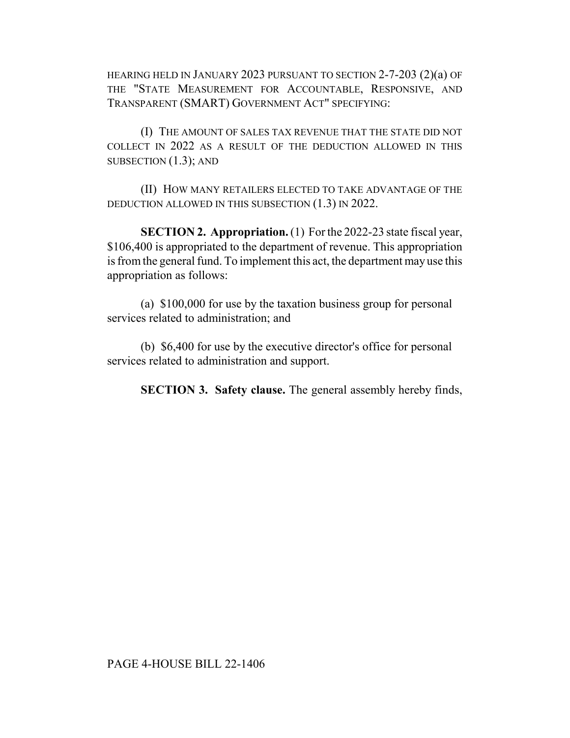HEARING HELD IN JANUARY 2023 PURSUANT TO SECTION 2-7-203 (2)(a) OF THE "STATE MEASUREMENT FOR ACCOUNTABLE, RESPONSIVE, AND TRANSPARENT (SMART) GOVERNMENT ACT" SPECIFYING:

(I) THE AMOUNT OF SALES TAX REVENUE THAT THE STATE DID NOT COLLECT IN 2022 AS A RESULT OF THE DEDUCTION ALLOWED IN THIS SUBSECTION (1.3); AND

(II) HOW MANY RETAILERS ELECTED TO TAKE ADVANTAGE OF THE DEDUCTION ALLOWED IN THIS SUBSECTION (1.3) IN 2022.

**SECTION 2. Appropriation.** (1) For the 2022-23 state fiscal year, \$106,400 is appropriated to the department of revenue. This appropriation is from the general fund. To implement this act, the department may use this appropriation as follows:

(a) \$100,000 for use by the taxation business group for personal services related to administration; and

(b) \$6,400 for use by the executive director's office for personal services related to administration and support.

**SECTION 3. Safety clause.** The general assembly hereby finds,